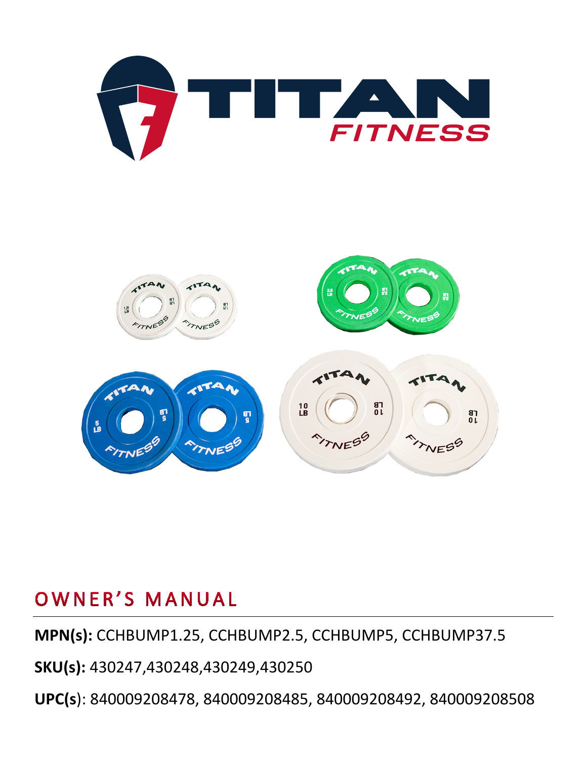



**MPN(s):** CCHBUMP1.25, CCHBUMP2.5, CCHBUMP5, CCHBUMP37.5

#### **SKU(s):** 430247,430248,430249,430250

**UPC(s**): 840009208478, 840009208485, 840009208492, 840009208508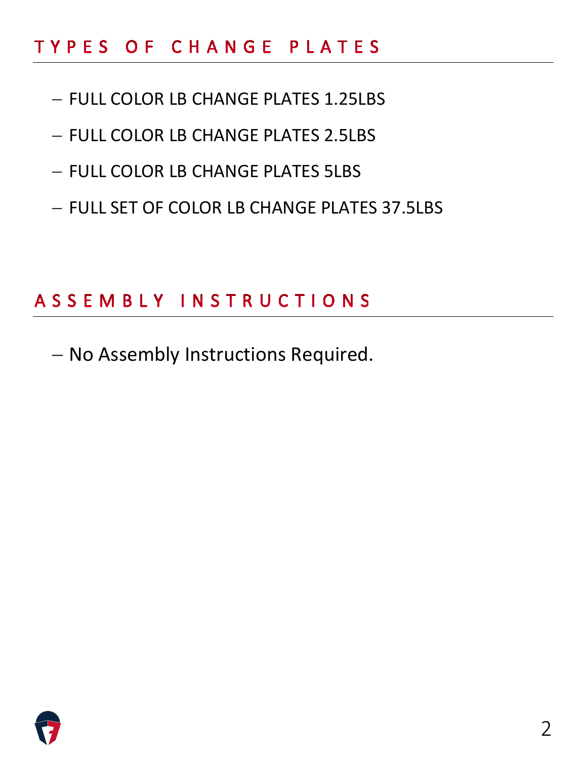## TYPES OF CHANGE PLATES

- − FULL COLOR LB CHANGE PLATES 1.25LBS
- − FULL COLOR LB CHANGE PLATES 2.5LBS
- − FULL COLOR LB CHANGE PLATES 5LBS
- − FULL SET OF COLOR LB CHANGE PLATES 37.5LBS

# ASSEMBLY INSTRUCTIONS

− No Assembly Instructions Required.